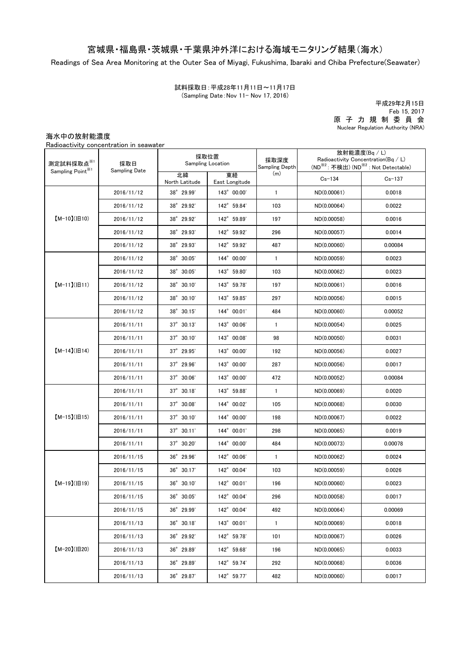## 宮城県・福島県・茨城県・千葉県沖外洋における海域モニタリング結果(海水)

Readings of Sea Area Monitoring at the Outer Sea of Miyagi, Fukushima, Ibaraki and Chiba Prefecture(Seawater)

(Sampling Date:Nov 11- Nov 17, 2016) 試料採取日:平成28年11月11日~11月17日

原 子 力 規 制 委 員 会 Nuclear Regulation Authority (NRA) 平成29年2月15日 Feb 15, 2017

海水中の放射能濃度

Radioactivity concentration in seawater

| 測定試料採取点※1<br>Sampling Point <sup>※1</sup> | 採取日<br>Sampling Date | 採取位置<br><b>Sampling Location</b> |                      | 採取深度<br>Sampling Depth | 放射能濃度(Bq / L)<br>Radioactivity Concentration( $Bq / L$ )<br>(ND <sup>※2</sup> : 不検出) (ND <sup>※2</sup> : Not Detectable) |            |
|-------------------------------------------|----------------------|----------------------------------|----------------------|------------------------|--------------------------------------------------------------------------------------------------------------------------|------------|
|                                           |                      | 北緯<br>North Latitude             | 東経<br>East Longitude | (m)                    | $Cs - 134$                                                                                                               | $Cs - 137$ |
| $[M-10](H10)$                             | 2016/11/12           | 38° 29.99'                       | 143° 00.00'          | $\mathbf{1}$           | ND(0.00061)                                                                                                              | 0.0018     |
|                                           | 2016/11/12           | 38° 29.92'                       | 142° 59.84'          | 103                    | ND(0.00064)                                                                                                              | 0.0022     |
|                                           | 2016/11/12           | 38° 29.92'                       | 142° 59.89'          | 197                    | ND(0.00058)                                                                                                              | 0.0016     |
|                                           | 2016/11/12           | 38° 29.93'                       | 142° 59.92'          | 296                    | ND(0.00057)                                                                                                              | 0.0014     |
|                                           | 2016/11/12           | 38° 29.93'                       | 142° 59.92'          | 487                    | ND(0.00060)                                                                                                              | 0.00084    |
| $[M-11](H11)$                             | 2016/11/12           | 38° 30.05'                       | 144° 00.00'          | $\mathbf{1}$           | ND(0.00059)                                                                                                              | 0.0023     |
|                                           | 2016/11/12           | 38° 30.05'                       | 143° 59.80'          | 103                    | ND(0.00062)                                                                                                              | 0.0023     |
|                                           | 2016/11/12           | 38° 30.10'                       | 143° 59.78'          | 197                    | ND(0.00061)                                                                                                              | 0.0016     |
|                                           | 2016/11/12           | 38° 30.10'                       | 143° 59.85'          | 297                    | ND(0.00056)                                                                                                              | 0.0015     |
|                                           | 2016/11/12           | 38° 30.15'                       | 144° 00.01'          | 484                    | ND(0.00060)                                                                                                              | 0.00052    |
|                                           | 2016/11/11           | $37^{\circ}$ 30.13'              | 143° 00.06'          | $\mathbf{1}$           | ND(0.00054)                                                                                                              | 0.0025     |
|                                           | 2016/11/11           | $37^{\circ}$ 30.10'              | 143° 00.08'          | 98                     | ND(0.00050)                                                                                                              | 0.0031     |
| $[M-14]( H14)$                            | 2016/11/11           | $37^{\circ}$ 29.95'              | 143° 00.00'          | 192                    | ND(0.00056)                                                                                                              | 0.0027     |
|                                           | 2016/11/11           | $37^\circ$ 29.96'                | 143° 00.00'          | 287                    | ND(0.00056)                                                                                                              | 0.0017     |
|                                           | 2016/11/11           | $37^{\circ}$ 30.06'              | 143° 00.00'          | 472                    | ND(0.00052)                                                                                                              | 0.00084    |
|                                           | 2016/11/11           | $37^{\circ}$ 30.18'              | 143° 59.88'          | $\mathbf{1}$           | ND(0.00069)                                                                                                              | 0.0020     |
|                                           | 2016/11/11           | 37° 30.08'                       | 144° 00.02'          | 105                    | ND(0.00068)                                                                                                              | 0.0030     |
| $[M-15]$ ( $[H15]$                        | 2016/11/11           | $37^{\circ}$ 30.10'              | 144° 00.00'          | 198                    | ND(0.00067)                                                                                                              | 0.0022     |
|                                           | 2016/11/11           | $37^{\circ}$ 30.11'              | 144° 00.01'          | 298                    | ND(0.00065)                                                                                                              | 0.0019     |
|                                           | 2016/11/11           | 37° 30.20'                       | 144° 00.00'          | 484                    | ND(0.00073)                                                                                                              | 0.00078    |
| $[M-19](H19)$                             | 2016/11/15           | 36° 29.96'                       | 142° 00.06'          | $\mathbf{1}$           | ND(0.00062)                                                                                                              | 0.0024     |
|                                           | 2016/11/15           | 36° 30.17'                       | 142° 00.04'          | 103                    | ND(0.00059)                                                                                                              | 0.0026     |
|                                           | 2016/11/15           | 36° 30.10'                       | 142° 00.01'          | 196                    | ND(0.00060)                                                                                                              | 0.0023     |
|                                           | 2016/11/15           | 36° 30.05'                       | 142° 00.04'          | 296                    | ND(0.00058)                                                                                                              | 0.0017     |
|                                           | 2016/11/15           | 36° 29.99'                       | 142° 00.04'          | 492                    | ND(0.00064)                                                                                                              | 0.00069    |
| $[M-20](H20)$                             | 2016/11/13           | 36° 30.18'                       | 143° 00.01'          | $\mathbf{1}$           | ND(0.00069)                                                                                                              | 0.0018     |
|                                           | 2016/11/13           | 36° 29.92'                       | 142° 59.78'          | 101                    | ND(0.00067)                                                                                                              | 0.0026     |
|                                           | 2016/11/13           | 36° 29.89'                       | 142° 59.68'          | 196                    | ND(0.00065)                                                                                                              | 0.0033     |
|                                           | 2016/11/13           | 36° 29.89'                       | 142° 59.74'          | 292                    | ND(0.00068)                                                                                                              | 0.0036     |
|                                           | 2016/11/13           | 36° 29.87'                       | 142° 59.77'          | 482                    | ND(0.00060)                                                                                                              | 0.0017     |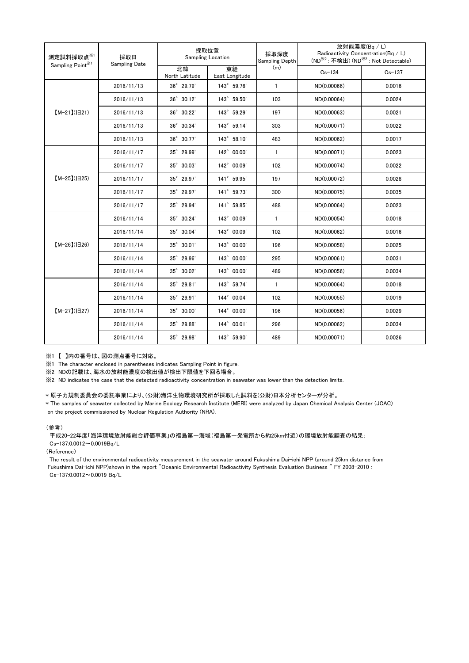| 測定試料採取点※1<br>Sampling Point <sup>※1</sup> | 採取日<br><b>Sampling Date</b> | 採取位置<br>Sampling Location |                      | 採取深度<br>Sampling Depth | 放射能濃度(Bq/L)<br>Radioactivity Concentration(Bq / L)<br>(ND <sup>※2</sup> : 不検出) (ND <sup>※2</sup> : Not Detectable) |            |
|-------------------------------------------|-----------------------------|---------------------------|----------------------|------------------------|--------------------------------------------------------------------------------------------------------------------|------------|
|                                           |                             | 北緯<br>North Latitude      | 東経<br>East Longitude | (m)                    | $Cs - 134$                                                                                                         | $Cs - 137$ |
| $[M-21](H21)$                             | 2016/11/13                  | 36° 29.79'                | 143° 59.76'          | $\mathbf{1}$           | ND(0.00066)                                                                                                        | 0.0016     |
|                                           | 2016/11/13                  | $36^{\circ}$ 30.12'       | 143° 59.50'          | 103                    | ND(0.00064)                                                                                                        | 0.0024     |
|                                           | 2016/11/13                  | 36° 30.22'                | 143° 59.29'          | 197                    | ND(0.00063)                                                                                                        | 0.0021     |
|                                           | 2016/11/13                  | 36° 30.34'                | 143° 59.14'          | 303                    | ND(0.00071)                                                                                                        | 0.0022     |
|                                           | 2016/11/13                  | 36° 30.77'                | 143° 58.10'          | 483                    | ND(0.00062)                                                                                                        | 0.0017     |
| $[M-25]( E25)$                            | 2016/11/17                  | 35° 29.99'                | 142° 00.00'          | $\mathbf{1}$           | ND(0.00071)                                                                                                        | 0.0023     |
|                                           | 2016/11/17                  | 35° 30.03'                | 142° 00.09'          | 102                    | ND(0.00074)                                                                                                        | 0.0022     |
|                                           | 2016/11/17                  | 35° 29.97'                | 141° 59.95'          | 197                    | ND(0.00072)                                                                                                        | 0.0028     |
|                                           | 2016/11/17                  | 35° 29.97'                | 141° 59.73'          | 300                    | ND(0.00075)                                                                                                        | 0.0035     |
|                                           | 2016/11/17                  | 35° 29.94'                | 141° 59.85'          | 488                    | ND(0.00064)                                                                                                        | 0.0023     |
| $[M-26](H26)$                             | 2016/11/14                  | 35° 30.24'                | 143° 00.09'          | $\mathbf{1}$           | ND(0.00054)                                                                                                        | 0.0018     |
|                                           | 2016/11/14                  | 35° 30.04'                | 143° 00.09'          | 102                    | ND(0.00062)                                                                                                        | 0.0016     |
|                                           | 2016/11/14                  | 35° 30.01'                | 143° 00.00'          | 196                    | ND(0.00058)                                                                                                        | 0.0025     |
|                                           | 2016/11/14                  | 35° 29.96'                | 143° 00.00'          | 295                    | ND(0.00061)                                                                                                        | 0.0031     |
|                                           | 2016/11/14                  | 35° 30.02'                | 143° 00.00'          | 489                    | ND(0.00056)                                                                                                        | 0.0034     |
| $[M-27](B27)$                             | 2016/11/14                  | 35° 29.81'                | 143° 59.74'          | $\mathbf{1}$           | ND(0.00064)                                                                                                        | 0.0018     |
|                                           | 2016/11/14                  | $35^{\circ}$ 29.91'       | 144° 00.04'          | 102                    | ND(0.00055)                                                                                                        | 0.0019     |
|                                           | 2016/11/14                  | 35° 30.00'                | 144° 00.00'          | 196                    | ND(0.00056)                                                                                                        | 0.0029     |
|                                           | 2016/11/14                  | 35° 29.88'                | 144° 00.01'          | 296                    | ND(0.00062)                                                                                                        | 0.0034     |
|                                           | 2016/11/14                  | 35° 29.98'                | 143° 59.90'          | 489                    | ND(0.00071)                                                                                                        | 0.0026     |

※1 【 】内の番号は、図の測点番号に対応。

※1 The character enclosed in parentheses indicates Sampling Point in figure.

...<br>※2 NDの記載は、海水の放射能濃度の検出値が検出下限値を下回る場合。

※2 ND indicates the case that the detected radioactivity concentration in seawater was lower than the detection limits.

## \* 原子力規制委員会の委託事業により、(公財)海洋生物環境研究所が採取した試料を(公財)日本分析センターが分析。

on the project commissioned by Nuclear Regulation Authority (NRA). \* The samples of seawater collected by Marine Ecology Research Institute (MERI) were analyzed by Japan Chemical Analysis Center (JCAC)

## (参考)

平成20-22年度「海洋環境放射能総合評価事業」の福島第一海域(福島第一発電所から約25km付近)の環境放射能調査の結果: Cs-137:0.0012~0.0019Bq/L

(Reference)

The result of the environmental radioactivity measurement in the seawater around Fukushima Dai-ichi NPP (around 25km distance from Fukushima Dai-ichi NPP)shown in the report "Oceanic Environmental Radioactivity Synthesis Evaluation Business " FY 2008-2010 : Cs-137:0.0012~0.0019 Bq/L